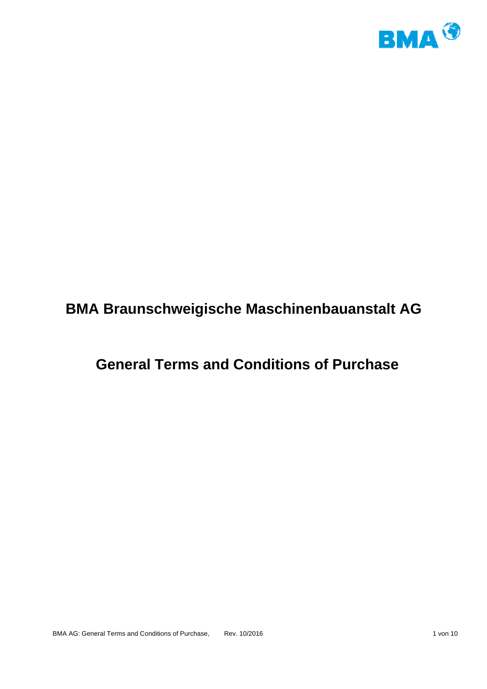

# **BMA Braunschweigische Maschinenbauanstalt AG**

# **General Terms and Conditions of Purchase**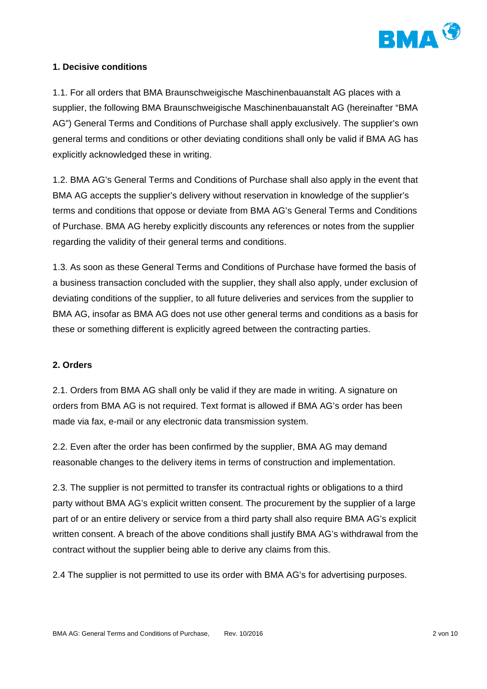

## **1. Decisive conditions**

1.1. For all orders that BMA Braunschweigische Maschinenbauanstalt AG places with a supplier, the following BMA Braunschweigische Maschinenbauanstalt AG (hereinafter "BMA AG") General Terms and Conditions of Purchase shall apply exclusively. The supplier's own general terms and conditions or other deviating conditions shall only be valid if BMA AG has explicitly acknowledged these in writing.

1.2. BMA AG's General Terms and Conditions of Purchase shall also apply in the event that BMA AG accepts the supplier's delivery without reservation in knowledge of the supplier's terms and conditions that oppose or deviate from BMA AG's General Terms and Conditions of Purchase. BMA AG hereby explicitly discounts any references or notes from the supplier regarding the validity of their general terms and conditions.

1.3. As soon as these General Terms and Conditions of Purchase have formed the basis of a business transaction concluded with the supplier, they shall also apply, under exclusion of deviating conditions of the supplier, to all future deliveries and services from the supplier to BMA AG, insofar as BMA AG does not use other general terms and conditions as a basis for these or something different is explicitly agreed between the contracting parties.

#### **2. Orders**

2.1. Orders from BMA AG shall only be valid if they are made in writing. A signature on orders from BMA AG is not required. Text format is allowed if BMA AG's order has been made via fax, e-mail or any electronic data transmission system.

2.2. Even after the order has been confirmed by the supplier, BMA AG may demand reasonable changes to the delivery items in terms of construction and implementation.

2.3. The supplier is not permitted to transfer its contractual rights or obligations to a third party without BMA AG's explicit written consent. The procurement by the supplier of a large part of or an entire delivery or service from a third party shall also require BMA AG's explicit written consent. A breach of the above conditions shall justify BMA AG's withdrawal from the contract without the supplier being able to derive any claims from this.

2.4 The supplier is not permitted to use its order with BMA AG's for advertising purposes.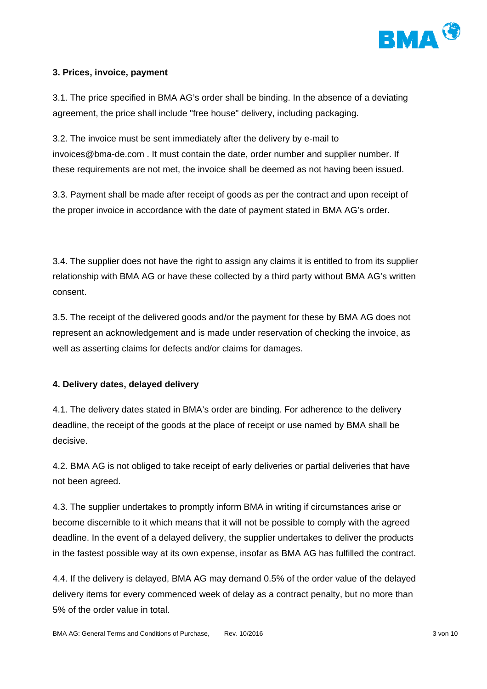

## **3. Prices, invoice, payment**

3.1. The price specified in BMA AG's order shall be binding. In the absence of a deviating agreement, the price shall include "free house" delivery, including packaging.

3.2. The invoice must be sent immediately after the delivery by e-mail to invoices@bma-de.com . It must contain the date, order number and supplier number. If these requirements are not met, the invoice shall be deemed as not having been issued.

3.3. Payment shall be made after receipt of goods as per the contract and upon receipt of the proper invoice in accordance with the date of payment stated in BMA AG's order.

3.4. The supplier does not have the right to assign any claims it is entitled to from its supplier relationship with BMA AG or have these collected by a third party without BMA AG's written consent.

3.5. The receipt of the delivered goods and/or the payment for these by BMA AG does not represent an acknowledgement and is made under reservation of checking the invoice, as well as asserting claims for defects and/or claims for damages.

#### **4. Delivery dates, delayed delivery**

4.1. The delivery dates stated in BMA's order are binding. For adherence to the delivery deadline, the receipt of the goods at the place of receipt or use named by BMA shall be decisive.

4.2. BMA AG is not obliged to take receipt of early deliveries or partial deliveries that have not been agreed.

4.3. The supplier undertakes to promptly inform BMA in writing if circumstances arise or become discernible to it which means that it will not be possible to comply with the agreed deadline. In the event of a delayed delivery, the supplier undertakes to deliver the products in the fastest possible way at its own expense, insofar as BMA AG has fulfilled the contract.

4.4. If the delivery is delayed, BMA AG may demand 0.5% of the order value of the delayed delivery items for every commenced week of delay as a contract penalty, but no more than 5% of the order value in total.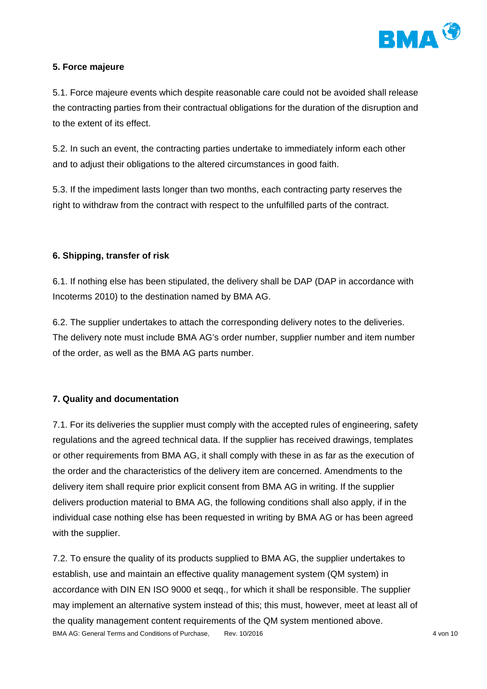

# **5. Force majeure**

5.1. Force majeure events which despite reasonable care could not be avoided shall release the contracting parties from their contractual obligations for the duration of the disruption and to the extent of its effect.

5.2. In such an event, the contracting parties undertake to immediately inform each other and to adjust their obligations to the altered circumstances in good faith.

5.3. If the impediment lasts longer than two months, each contracting party reserves the right to withdraw from the contract with respect to the unfulfilled parts of the contract.

# **6. Shipping, transfer of risk**

6.1. If nothing else has been stipulated, the delivery shall be DAP (DAP in accordance with Incoterms 2010) to the destination named by BMA AG.

6.2. The supplier undertakes to attach the corresponding delivery notes to the deliveries. The delivery note must include BMA AG's order number, supplier number and item number of the order, as well as the BMA AG parts number.

# **7. Quality and documentation**

7.1. For its deliveries the supplier must comply with the accepted rules of engineering, safety regulations and the agreed technical data. If the supplier has received drawings, templates or other requirements from BMA AG, it shall comply with these in as far as the execution of the order and the characteristics of the delivery item are concerned. Amendments to the delivery item shall require prior explicit consent from BMA AG in writing. If the supplier delivers production material to BMA AG, the following conditions shall also apply, if in the individual case nothing else has been requested in writing by BMA AG or has been agreed with the supplier.

BMA AG: General Terms and Conditions of Purchase. Rev. 10/2016 **According to the Conditioner According to the Conditions** 4 von 10 7.2. To ensure the quality of its products supplied to BMA AG, the supplier undertakes to establish, use and maintain an effective quality management system (QM system) in accordance with DIN EN ISO 9000 et seqq., for which it shall be responsible. The supplier may implement an alternative system instead of this; this must, however, meet at least all of the quality management content requirements of the QM system mentioned above.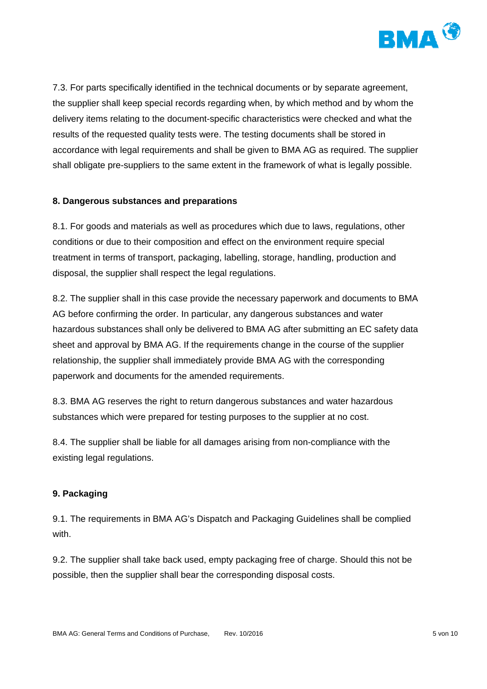

7.3. For parts specifically identified in the technical documents or by separate agreement, the supplier shall keep special records regarding when, by which method and by whom the delivery items relating to the document-specific characteristics were checked and what the results of the requested quality tests were. The testing documents shall be stored in accordance with legal requirements and shall be given to BMA AG as required. The supplier shall obligate pre-suppliers to the same extent in the framework of what is legally possible.

#### **8. Dangerous substances and preparations**

8.1. For goods and materials as well as procedures which due to laws, regulations, other conditions or due to their composition and effect on the environment require special treatment in terms of transport, packaging, labelling, storage, handling, production and disposal, the supplier shall respect the legal regulations.

8.2. The supplier shall in this case provide the necessary paperwork and documents to BMA AG before confirming the order. In particular, any dangerous substances and water hazardous substances shall only be delivered to BMA AG after submitting an EC safety data sheet and approval by BMA AG. If the requirements change in the course of the supplier relationship, the supplier shall immediately provide BMA AG with the corresponding paperwork and documents for the amended requirements.

8.3. BMA AG reserves the right to return dangerous substances and water hazardous substances which were prepared for testing purposes to the supplier at no cost.

8.4. The supplier shall be liable for all damages arising from non-compliance with the existing legal regulations.

#### **9. Packaging**

9.1. The requirements in BMA AG's Dispatch and Packaging Guidelines shall be complied with.

9.2. The supplier shall take back used, empty packaging free of charge. Should this not be possible, then the supplier shall bear the corresponding disposal costs.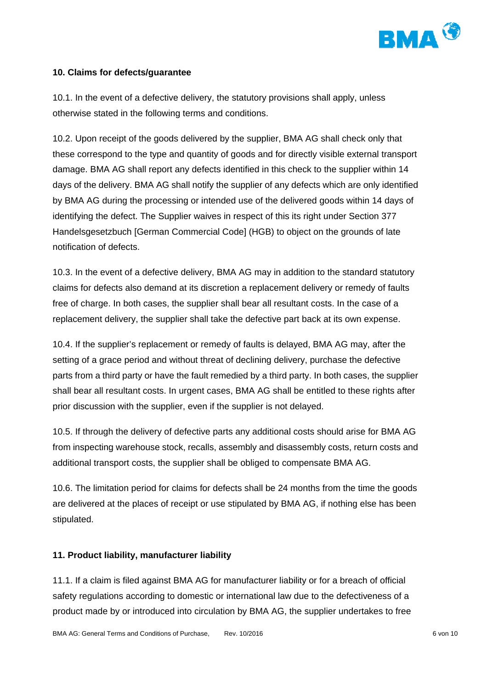

#### **10. Claims for defects/guarantee**

10.1. In the event of a defective delivery, the statutory provisions shall apply, unless otherwise stated in the following terms and conditions.

10.2. Upon receipt of the goods delivered by the supplier, BMA AG shall check only that these correspond to the type and quantity of goods and for directly visible external transport damage. BMA AG shall report any defects identified in this check to the supplier within 14 days of the delivery. BMA AG shall notify the supplier of any defects which are only identified by BMA AG during the processing or intended use of the delivered goods within 14 days of identifying the defect. The Supplier waives in respect of this its right under Section 377 Handelsgesetzbuch [German Commercial Code] (HGB) to object on the grounds of late notification of defects.

10.3. In the event of a defective delivery, BMA AG may in addition to the standard statutory claims for defects also demand at its discretion a replacement delivery or remedy of faults free of charge. In both cases, the supplier shall bear all resultant costs. In the case of a replacement delivery, the supplier shall take the defective part back at its own expense.

10.4. If the supplier's replacement or remedy of faults is delayed, BMA AG may, after the setting of a grace period and without threat of declining delivery, purchase the defective parts from a third party or have the fault remedied by a third party. In both cases, the supplier shall bear all resultant costs. In urgent cases, BMA AG shall be entitled to these rights after prior discussion with the supplier, even if the supplier is not delayed.

10.5. If through the delivery of defective parts any additional costs should arise for BMA AG from inspecting warehouse stock, recalls, assembly and disassembly costs, return costs and additional transport costs, the supplier shall be obliged to compensate BMA AG.

10.6. The limitation period for claims for defects shall be 24 months from the time the goods are delivered at the places of receipt or use stipulated by BMA AG, if nothing else has been stipulated.

#### **11. Product liability, manufacturer liability**

11.1. If a claim is filed against BMA AG for manufacturer liability or for a breach of official safety regulations according to domestic or international law due to the defectiveness of a product made by or introduced into circulation by BMA AG, the supplier undertakes to free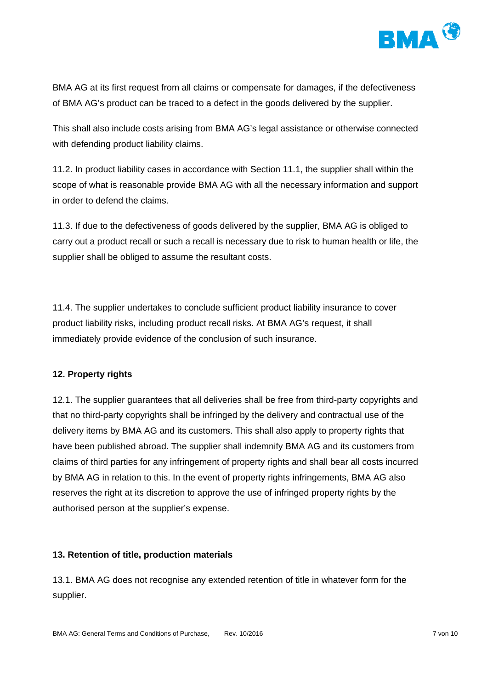

BMA AG at its first request from all claims or compensate for damages, if the defectiveness of BMA AG's product can be traced to a defect in the goods delivered by the supplier.

This shall also include costs arising from BMA AG's legal assistance or otherwise connected with defending product liability claims.

11.2. In product liability cases in accordance with Section 11.1, the supplier shall within the scope of what is reasonable provide BMA AG with all the necessary information and support in order to defend the claims.

11.3. If due to the defectiveness of goods delivered by the supplier, BMA AG is obliged to carry out a product recall or such a recall is necessary due to risk to human health or life, the supplier shall be obliged to assume the resultant costs.

11.4. The supplier undertakes to conclude sufficient product liability insurance to cover product liability risks, including product recall risks. At BMA AG's request, it shall immediately provide evidence of the conclusion of such insurance.

#### **12. Property rights**

12.1. The supplier guarantees that all deliveries shall be free from third-party copyrights and that no third-party copyrights shall be infringed by the delivery and contractual use of the delivery items by BMA AG and its customers. This shall also apply to property rights that have been published abroad. The supplier shall indemnify BMA AG and its customers from claims of third parties for any infringement of property rights and shall bear all costs incurred by BMA AG in relation to this. In the event of property rights infringements, BMA AG also reserves the right at its discretion to approve the use of infringed property rights by the authorised person at the supplier's expense.

#### **13. Retention of title, production materials**

13.1. BMA AG does not recognise any extended retention of title in whatever form for the supplier.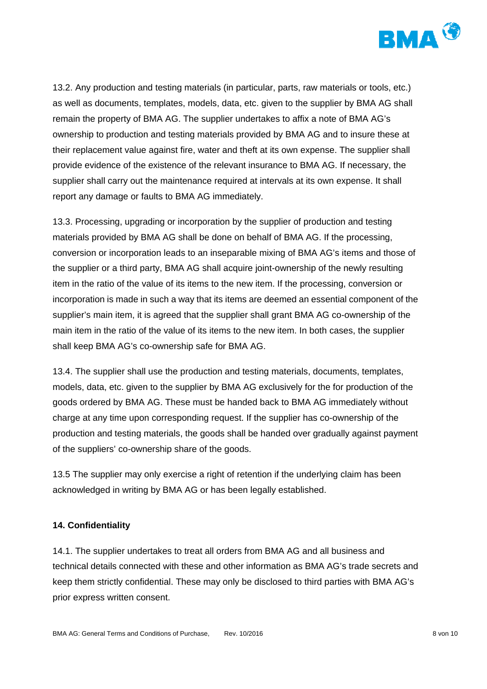

13.2. Any production and testing materials (in particular, parts, raw materials or tools, etc.) as well as documents, templates, models, data, etc. given to the supplier by BMA AG shall remain the property of BMA AG. The supplier undertakes to affix a note of BMA AG's ownership to production and testing materials provided by BMA AG and to insure these at their replacement value against fire, water and theft at its own expense. The supplier shall provide evidence of the existence of the relevant insurance to BMA AG. If necessary, the supplier shall carry out the maintenance required at intervals at its own expense. It shall report any damage or faults to BMA AG immediately.

13.3. Processing, upgrading or incorporation by the supplier of production and testing materials provided by BMA AG shall be done on behalf of BMA AG. If the processing, conversion or incorporation leads to an inseparable mixing of BMA AG's items and those of the supplier or a third party, BMA AG shall acquire joint-ownership of the newly resulting item in the ratio of the value of its items to the new item. If the processing, conversion or incorporation is made in such a way that its items are deemed an essential component of the supplier's main item, it is agreed that the supplier shall grant BMA AG co-ownership of the main item in the ratio of the value of its items to the new item. In both cases, the supplier shall keep BMA AG's co-ownership safe for BMA AG.

13.4. The supplier shall use the production and testing materials, documents, templates, models, data, etc. given to the supplier by BMA AG exclusively for the for production of the goods ordered by BMA AG. These must be handed back to BMA AG immediately without charge at any time upon corresponding request. If the supplier has co-ownership of the production and testing materials, the goods shall be handed over gradually against payment of the suppliers' co-ownership share of the goods.

13.5 The supplier may only exercise a right of retention if the underlying claim has been acknowledged in writing by BMA AG or has been legally established.

#### **14. Confidentiality**

14.1. The supplier undertakes to treat all orders from BMA AG and all business and technical details connected with these and other information as BMA AG's trade secrets and keep them strictly confidential. These may only be disclosed to third parties with BMA AG's prior express written consent.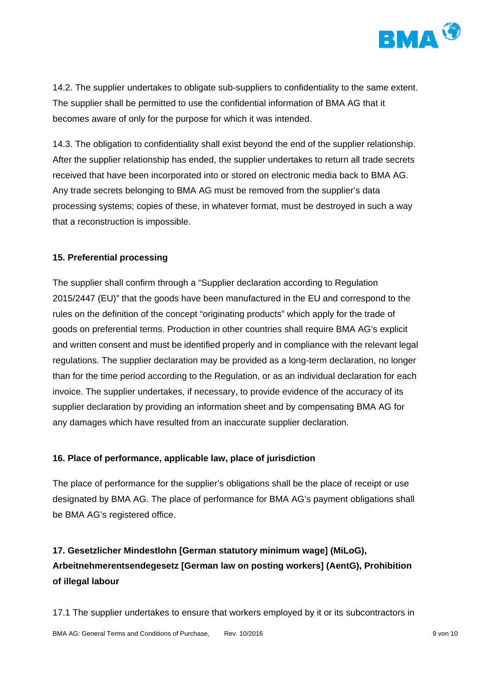

14.2. The supplier undertakes to obligate sub-suppliers to confidentiality to the same extent. The supplier shall be permitted to use the confidential information of BMA AG that it becomes aware of only for the purpose for which it was intended.

14.3. The obligation to confidentiality shall exist beyond the end of the supplier relationship. After the supplier relationship has ended, the supplier undertakes to return all trade secrets received that have been incorporated into or stored on electronic media back to BMA AG. Any trade secrets belonging to BMA AG must be removed from the supplier's data processing systems; copies of these, in whatever format, must be destroyed in such a way that a reconstruction is impossible.

## **15. Preferential processing**

The supplier shall confirm through a "Supplier declaration according to Regulation 2015/2447 (EU)" that the goods have been manufactured in the EU and correspond to the rules on the definition of the concept "originating products" which apply for the trade of goods on preferential terms. Production in other countries shall require BMA AG's explicit and written consent and must be identified properly and in compliance with the relevant legal regulations. The supplier declaration may be provided as a long-term declaration, no longer than for the time period according to the Regulation, or as an individual declaration for each invoice. The supplier undertakes, if necessary, to provide evidence of the accuracy of its supplier declaration by providing an information sheet and by compensating BMA AG for any damages which have resulted from an inaccurate supplier declaration.

#### **16. Place of performance, applicable law, place of jurisdiction**

The place of performance for the supplier's obligations shall be the place of receipt or use designated by BMA AG. The place of performance for BMA AG's payment obligations shall be BMA AG's registered office.

# **17. Gesetzlicher Mindestlohn [German statutory minimum wage] (MiLoG), Arbeitnehmerentsendegesetz [German law on posting workers] (AentG), Prohibition of illegal labour**

17.1 The supplier undertakes to ensure that workers employed by it or its subcontractors in